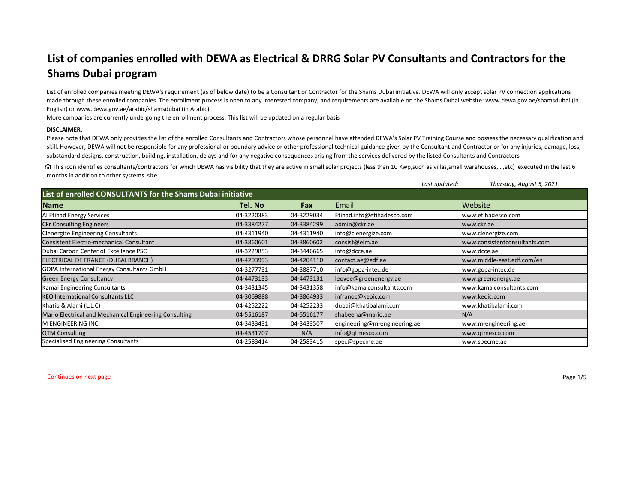## **List of companies enrolled with DEWA as Electrical & DRRG Solar PV Consultants and Contractors for the Shams Dubai program**

List of enrolled companies meeting DEWA's requirement (as of below date) to be <sup>a</sup> Consultant or Contractor for the Shams Dubai initiative. DEWA will only accept solar PV connection applications made through these enrolled companies. The enrollment process is open to any interested company, and requirements are available on the Shams Dubai website: www.dewa.gov.ae/shamsdubai (in English) or www.dewa.gov.ae/arabic/shamsdubai (in Arabic).

More companies are currently undergoing the enrollment process. This list will be updated on <sup>a</sup> regular basis

## **DISCLAIMER:**

Please note that DEWA only provides the list of the enrolled Consultants and Contractors whose personnel have attended DEWA's Solar PV Training Course and possess the necessary qualification and skill. However, DEWA will not be responsible for any professional or boundary advice or other professional technical guidance given by the Consultant and Contractor or for any injuries, damage, loss, substandard designs, construction, building, installation, delays and for any negative consequences arising from the services delivered by the listed Consultants and Contractors

This icon identifies consultants/contractors for which DEWA has visibility that they are active in small solar projects (less than 10 Kwp,such as villas,small warehouses,…,etc) executed in the last 6 months in addition to other systems size.

|                                                             |            |            |                              | Last updated: | Thursday, August 5, 2021      |  |  |  |
|-------------------------------------------------------------|------------|------------|------------------------------|---------------|-------------------------------|--|--|--|
| List of enrolled CONSULTANTS for the Shams Dubai initiative |            |            |                              |               |                               |  |  |  |
| <b>Name</b>                                                 | Tel. No    | <b>Fax</b> | Email                        |               | Website                       |  |  |  |
| Al Etihad Energy Services                                   | 04-3220383 | 04-3229034 | Etihad.info@etihadesco.com   |               | www.etihadesco.com            |  |  |  |
| <b>Ckr Consulting Engineers</b>                             | 04-3384277 | 04-3384299 | admin@ckr.ae                 |               | www.ckr.ae                    |  |  |  |
| <b>Clenergize Engineering Consultants</b>                   | 04-4311940 | 04-4311940 | info@clenergize.com          |               | www.clenergize.com            |  |  |  |
| <b>Consistent Electro-mechanical Consultant</b>             | 04-3860601 | 04-3860602 | consist@eim.ae               |               | www.consistentconsultants.com |  |  |  |
| Dubai Carbon Center of Excellence PSC                       | 04-3229853 | 04-3446665 | info@dcce.ae                 |               | www.dcce.ae                   |  |  |  |
| ELECTRICAL DE FRANCE (DUBAI BRANCH)                         | 04-4203993 | 04-4204110 | contact.ae@edf.ae            |               | www.middle-east.edf.com/en    |  |  |  |
| <b>GOPA International Energy Consultants GmbH</b>           | 04-3277731 | 04-3887710 | info@gopa-intec.de           |               | www.gopa-intec.de             |  |  |  |
| <b>Green Energy Consultancy</b>                             | 04-4473133 | 04-4473131 | leovee@greenenergy.ae        |               | www.greenenergy.ae            |  |  |  |
| Kamal Engineering Consultants                               | 04-3431345 | 04-3431358 | info@kamalconsultants.com    |               | www.kamalconsultants.com      |  |  |  |
| <b>KEO International Consultants LLC</b>                    | 04-3069888 | 04-3864933 | infranoc@keoic.com           |               | www.keoic.com                 |  |  |  |
| Khatib & Alami (L.L.C)                                      | 04-4252222 | 04-4252233 | dubai@khatibalami.com        |               | www.khatibalami.com           |  |  |  |
| Mario Electrical and Mechanical Engineering Consulting      | 04-5516187 | 04-5516177 | shabeena@mario.ae            |               | N/A                           |  |  |  |
| M ENGINEERING INC                                           | 04-3433431 | 04-3433507 | engineering@m-engineering.ae |               | www.m-engineering.ae          |  |  |  |
| <b>QTM Consulting</b>                                       | 04-4531707 | N/A        | info@qtmesco.com             |               | www.qtmesco.com               |  |  |  |
| <b>Specialised Engineering Consultants</b>                  | 04-2583414 | 04-2583415 | spec@specme.ae               |               | www.specme.ae                 |  |  |  |

 ‐ Continues onnext page ‐ Page 1/5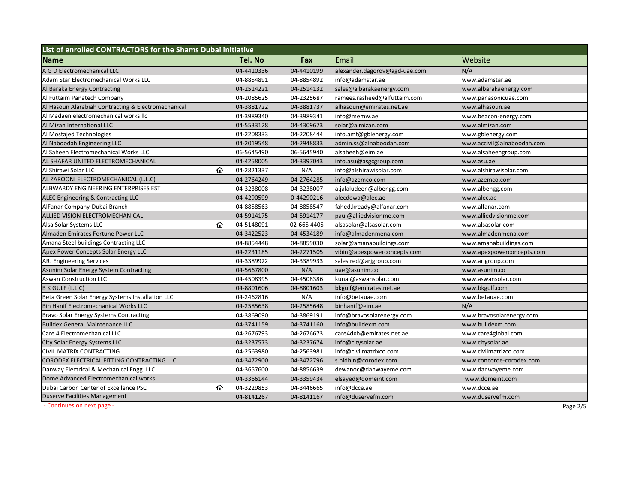| List of enrolled CONTRACTORS for the Shams Dubai initiative |   |            |             |                               |  |                            |
|-------------------------------------------------------------|---|------------|-------------|-------------------------------|--|----------------------------|
| <b>Name</b>                                                 |   | Tel. No    | Fax         | Email                         |  | Website                    |
| A G D Electromechanical LLC                                 |   | 04-4410336 | 04-4410199  | alexander.dagorov@agd-uae.com |  | N/A                        |
| Adam Star Electromechanical Works LLC                       |   | 04-8854891 | 04-8854892  | info@adamstar.ae              |  | www.adamstar.ae            |
| Al Baraka Energy Contracting                                |   | 04-2514221 | 04-2514132  | sales@albarakaenergy.com      |  | www.albarakaenergy.com     |
| Al Futtaim Panatech Company                                 |   | 04-2085625 | 04-2325687  | ramees.rasheed@alfuttaim.com  |  | www.panasonicuae.com       |
| Al Hasoun Alarabiah Contracting & Electromechanical         |   | 04-3881722 | 04-3881737  | alhasoun@emirates.net.ae      |  | www.alhasoun.ae            |
| Al Madaen electromechanical works llc                       |   | 04-3989340 | 04-3989341  | info@memw.ae                  |  | www.beacon-energy.com      |
| Al Mizan International LLC                                  |   | 04-5533128 | 04-4309673  | solar@almizan.com             |  | www.almizan.com            |
| Al Mostajed Technologies                                    |   | 04-2208333 | 04-2208444  | info.amt@gblenergy.com        |  | www.gblenergy.com          |
| Al Naboodah Engineering LLC                                 |   | 04-2019548 | 04-2948833  | admin.ss@alnaboodah.com       |  | www.accivil@alnaboodah.com |
| Al Saheeh Electromechanical Works LLC                       |   | 06-5645490 | 06-5645940  | alsaheeh@eim.ae               |  | www.alsaheehgroup.com      |
| AL SHAFAR UNITED ELECTROMECHANICAL                          |   | 04-4258005 | 04-3397043  | info.asu@asgcgroup.com        |  | www.asu.ae                 |
| Al Shirawi Solar LLC                                        | ⇧ | 04-2821337 | N/A         | info@alshirawisolar.com       |  | www.alshirawisolar.com     |
| AL ZAROONI ELECTROMECHANICAL (L.L.C)                        |   | 04-2764249 | 04-2764285  | info@azemco.com               |  | www.azemco.com             |
| ALBWARDY ENGINEERING ENTERPRISES EST                        |   | 04-3238008 | 04-3238007  | a.jalaludeen@albengg.com      |  | www.albengg.com            |
| ALEC Engineering & Contracting LLC                          |   | 04-4290599 | 0-44290216  | alecdewa@alec.ae              |  | www.alec.ae                |
| AlFanar Company-Dubai Branch                                |   | 04-8858563 | 04-8858547  | fahed.kready@alfanar.com      |  | www.alfanar.com            |
| ALLIED VISION ELECTROMECHANICAL                             |   | 04-5914175 | 04-5914177  | paul@alliedvisionme.com       |  | www.alliedvisionme.com     |
| Alsa Solar Systems LLC                                      | ⇧ | 04-5148091 | 02-665 4405 | alsasolar@alsasolar.com       |  | www.alsasolar.com          |
| Almaden Emirates Fortune Power LLC                          |   | 04-3422523 | 04-4534189  | info@almadenmena.com          |  | www.almadenmena.com        |
| Amana Steel buildings Contracting LLC                       |   | 04-8854448 | 04-8859030  | solar@amanabuildings.com      |  | www.amanabuildings.com     |
| Apex Power Concepts Solar Energy LLC                        |   | 04-2231185 | 04-2271505  | vibin@apexpowerconcepts.com   |  | www.apexpowerconcepts.com  |
| <b>ARJ Engineering Services</b>                             |   | 04-3389922 | 04-3389933  | sales.red@arjgroup.com        |  | www.arigroup.com           |
| Asunim Solar Energy System Contracting                      |   | 04-5667800 | N/A         | uae@asunim.co                 |  | www.asunim.co              |
| <b>Aswan Construction LLC</b>                               |   | 04-4508395 | 04-4508386  | kunal@aswansolar.com          |  | www.aswansolar.com         |
| B K GULF (L.L.C)                                            |   | 04-8801606 | 04-8801603  | bkgulf@emirates.net.ae        |  | www.bkgulf.com             |
| Beta Green Solar Energy Systems Installation LLC            |   | 04-2462816 | N/A         | info@betauae.com              |  | www.betauae.com            |
| Bin Hanif Electromechanical Works LLC                       |   | 04-2585638 | 04-2585648  | binhanif@eim.ae               |  | N/A                        |
| <b>Bravo Solar Energy Systems Contracting</b>               |   | 04-3869090 | 04-3869191  | info@bravosolarenergy.com     |  | www.bravosolarenergy.com   |
| <b>Buildex General Maintenance LLC</b>                      |   | 04-3741159 | 04-3741160  | info@buildexm.com             |  | www.buildexm.com           |
| Care 4 Electromechanical LLC                                |   | 04-2676793 | 04-2676673  | care4dxb@emirates.net.ae      |  | www.care4global.com        |
| City Solar Energy Systems LLC                               |   | 04-3237573 | 04-3237674  | info@citysolar.ae             |  | www.citysolar.ae           |
| CIVIL MATRIX CONTRACTING                                    |   | 04-2563980 | 04-2563981  | info@civilmatrixco.com        |  | www.civilmatrizco.com      |
| CORODEX ELECTRICAL FITTING CONTRACTING LLC                  |   | 04-3472900 | 04-3472796  | s.nidhin@corodex.com          |  | www.concorde-corodex.com   |
| Danway Electrical & Mechanical Engg. LLC                    |   | 04-3657600 | 04-8856639  | dewanoc@danwayeme.com         |  | www.danwayeme.com          |
| Dome Advanced Electromechanical works                       |   | 04-3366144 | 04-3359434  | elsayed@domeint.com           |  | www.domeint.com            |
| Dubai Carbon Center of Excellence PSC                       | ⇧ | 04-3229853 | 04-3446665  | info@dcce.ae                  |  | www.dcce.ae                |
| <b>Duserve Facilities Management</b>                        |   | 04-8141267 | 04-8141167  | info@duservefm.com            |  | www.duservefm.com          |

 ‐ Continues onnext page ‐ Page 2/5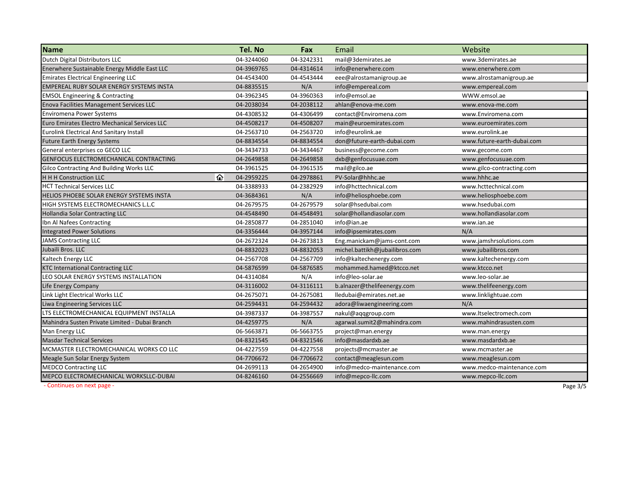| <b>Name</b>                                     | Tel. No    | Fax        | Email                          | Website                    |
|-------------------------------------------------|------------|------------|--------------------------------|----------------------------|
| Dutch Digital Distributors LLC                  | 04-3244060 | 04-3242331 | mail@3demirates.ae             | www.3demirates.ae          |
| Enerwhere Sustainable Energy Middle East LLC    | 04-3969765 | 04-4314614 | info@enerwhere.com             | www.enerwhere.com          |
| <b>Emirates Electrical Engineering LLC</b>      | 04-4543400 | 04-4543444 | eee@alrostamanigroup.ae        | www.alrostamanigroup.ae    |
| <b>EMPEREAL RUBY SOLAR ENERGY SYSTEMS INSTA</b> | 04-8835515 | N/A        | info@empereal.com              | www.empereal.com           |
| <b>EMSOL Engineering &amp; Contracting</b>      | 04-3962345 | 04-3960363 | info@emsol.ae                  | WWW.emsol.ae               |
| <b>Enova Facilities Management Services LLC</b> | 04-2038034 | 04-2038112 | ahlan@enova-me.com             | www.enova-me.com           |
| Enviromena Power Systems                        | 04-4308532 | 04-4306499 | contact@Enviromena.com         | www.Enviromena.com         |
| Euro Emirates Electro Mechanical Services LLC   | 04-4508217 | 04-4508207 | main@euroemirates.com          | www.euroemirates.com       |
| <b>Eurolink Electrical And Sanitary Install</b> | 04-2563710 | 04-2563720 | info@eurolink.ae               | www.eurolink.ae            |
| <b>Future Earth Energy Systems</b>              | 04-8834554 | 04-8834554 | don@future-earth-dubai.com     | www.future-earth-dubai.com |
| General enterprises co GECO LLC                 | 04-3434733 | 04-3434467 | business@gecome.com            | www.gecome.com             |
| GENFOCUS ELECTROMECHANICAL CONTRACTING          | 04-2649858 | 04-2649858 | dxb@genfocusuae.com            | www.genfocusuae.com        |
| Gilco Contracting And Building Works LLC        | 04-3961525 | 04-3961535 | mail@gilco.ae                  | www.gilco-contracting.com  |
| ⋒<br><b>H H H Construction LLC</b>              | 04-2959225 | 04-2978861 | PV-Solar@hhhc.ae               | www.hhhc.ae                |
| <b>HCT Technical Services LLC</b>               | 04-3388933 | 04-2382929 | info@hcttechnical.com          | www.hcttechnical.com       |
| HELIOS PHOEBE SOLAR ENERGY SYSTEMS INSTA        | 04-3684361 | N/A        | info@heliosphoebe.com          | www.heliosphoebe.com       |
| <b>HIGH SYSTEMS ELECTROMECHANICS L.L.C</b>      | 04-2679575 | 04-2679579 | solar@hsedubai.com             | www.hsedubai.com           |
| <b>Hollandia Solar Contracting LLC</b>          | 04-4548490 | 04-4548491 | solar@hollandiasolar.com       | www.hollandiasolar.com     |
| Ibn Al Nafees Contracting                       | 04-2850877 | 04-2851040 | info@ian.ae                    | www.ian.ae                 |
| <b>Integrated Power Solutions</b>               | 04-3356444 | 04-3957144 | info@ipsemirates.com           | N/A                        |
| <b>JAMS Contracting LLC</b>                     | 04-2672324 | 04-2673813 | Eng.manickam@jams-cont.com     | www.jamshrsolutions.com    |
| Jubaili Bros. LLC                               | 04-8832023 | 04-8832053 | michel.battikh@jubailibros.com | www.jubailibros.com        |
| Kaltech Energy LLC                              | 04-2567708 | 04-2567709 | info@kaltechenergy.com         | www.kaltechenergy.com      |
| <b>KTC International Contracting LLC</b>        | 04-5876599 | 04-5876585 | mohammed.hamed@ktcco.net       | www.ktcco.net              |
| LEO SOLAR ENERGY SYSTEMS INSTALLATION           | 04-4314084 | N/A        | info@leo-solar.ae              | www.leo-solar.ae           |
| Life Energy Company                             | 04-3116002 | 04-3116111 | b.alnazer@thelifeenergy.com    | www.thelifeenergy.com      |
| Link Light Electrical Works LLC                 | 04-2675071 | 04-2675081 | lledubai@emirates.net.ae       | www.linklightuae.com       |
| Liwa Engineering Services LLC                   | 04-2594431 | 04-2594432 | adora@liwaengineering.com      | N/A                        |
| LTS ELECTROMECHANICAL EQUIPMENT INSTALLA        | 04-3987337 | 04-3987557 | nakul@aqqgroup.com             | www.ltselectromech.com     |
| Mahindra Susten Private Limited - Dubai Branch  | 04-4259775 | N/A        | agarwal.sumit2@mahindra.com    | www.mahindrasusten.com     |
| Man Energy LLC                                  | 06-5663871 | 06-5663755 | project@man.energy             | www.man.energy             |
| <b>Masdar Technical Services</b>                | 04-8321545 | 04-8321546 | info@masdardxb.ae              | www.masdardxb.ae           |
| MCMASTER ELECTROMECHANICAL WORKS CO LLC         | 04-4227559 | 04-4227558 | projects@mcmaster.ae           | www.mcmaster.ae            |
| Meagle Sun Solar Energy System                  | 04-7706672 | 04-7706672 | contact@meaglesun.com          | www.meaglesun.com          |
| <b>MEDCO Contracting LLC</b>                    | 04-2699113 | 04-2654900 | info@medco-maintenance.com     | www.medco-maintenance.com  |
| MEPCO ELECTROMECHANICAL WORKSLLC-DUBAI          | 04-8246160 | 04-2556669 | info@mepco-llc.com             | www.mepco-llc.com          |

 ‐ Continues onnext page ‐ Page 3/5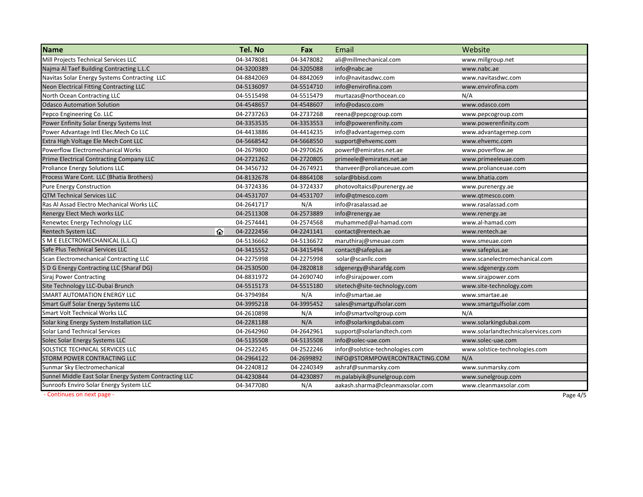| <b>Name</b>                                            | Tel. No    | Fax        | Email                           | Website                            |
|--------------------------------------------------------|------------|------------|---------------------------------|------------------------------------|
| Mill Projects Technical Services LLC                   | 04-3478081 | 04-3478082 | ali@millmechanical.com          | www.millgroup.net                  |
| Najma Al Taef Building Contracting L.L.C               | 04-3200389 | 04-3205088 | info@nabc.ae                    | www.nabc.ae                        |
| Navitas Solar Energy Systems Contracting LLC           | 04-8842069 | 04-8842069 | info@navitasdwc.com             | www.navitasdwc.com                 |
| Neon Electrical Fitting Contracting LLC                | 04-5136097 | 04-5514710 | info@envirofina.com             | www.envirofina.com                 |
| North Ocean Contracting LLC                            | 04-5515498 | 04-5515479 | murtazas@northocean.co          | N/A                                |
| <b>Odasco Automation Solution</b>                      | 04-4548657 | 04-4548607 | info@odasco.com                 | www.odasco.com                     |
| Pepco Engineering Co. LLC                              | 04-2737263 | 04-2737268 | reena@pepcogroup.com            | www.pepcogroup.com                 |
| Power Enfinity Solar Energy Systems Inst               | 04-3353535 | 04-3353553 | info@powerenfinity.com          | www.powerenfinity.com              |
| Power Advantage Intl Elec. Mech Co LLC                 | 04-4413886 | 04-4414235 | info@advantagemep.com           | www.advantagemep.com               |
| Extra High Voltage Ele Mech Cont LLC                   | 04-5668542 | 04-5668550 | support@ehvemc.com              | www.ehvemc.com                     |
| Powerflow Electromechanical Works                      | 04-2679800 | 04-2970626 | powerf@emirates.net.ae          | www.poverflow.ae                   |
| Prime Electrical Contracting Company LLC               | 04-2721262 | 04-2720805 | primeele@emirates.net.ae        | www.primeeleuae.com                |
| <b>Proliance Energy Solutions LLC</b>                  | 04-3456732 | 04-2674921 | thanveer@prolianceuae.com       | www.prolianceuae.com               |
| Process Ware Cont. LLC (Bhatia Brothers)               | 04-8132678 | 04-8864108 | solar@bbisd.com                 | www.bhatia.com                     |
| <b>Pure Energy Construction</b>                        | 04-3724336 | 04-3724337 | photovoltaics@purenergy.ae      | www.purenergy.ae                   |
| <b>QTM Technical Services LLC</b>                      | 04-4531707 | 04-4531707 | info@qtmesco.com                | www.qtmesco.com                    |
| Ras Al Assad Electro Mechanical Works LLC              | 04-2641717 | N/A        | info@rasalassad.ae              | www.rasalassad.com                 |
| Renergy Elect Mech works LLC                           | 04-2511308 | 04-2573889 | info@renergy.ae                 | www.renergy.ae                     |
| Renewtec Energy Technology LLC                         | 04-2574441 | 04-2574568 | muhammed@al-hamad.com           | www.al-hamad.com                   |
| ⇧<br><b>Rentech System LLC</b>                         | 04-2222456 | 04-2241141 | contact@rentech.ae              | www.rentech.ae                     |
| S M E ELECTROMECHANICAL (L.L.C)                        | 04-5136662 | 04-5136672 | maruthiraj@smeuae.com           | www.smeuae.com                     |
| Safe Plus Technical Services LLC                       | 04-3415552 | 04-3415494 | contact@safeplus.ae             | www.safeplus.ae                    |
| Scan Electromechanical Contracting LLC                 | 04-2275998 | 04-2275998 | solar@scanllc.com               | www.scanelectromechanical.com      |
| S D G Energy Contracting LLC (Sharaf DG)               | 04-2530500 | 04-2820818 | sdgenergy@sharafdg.com          | www.sdgenergy.com                  |
| Siraj Power Contracting                                | 04-8831972 | 04-2690740 | info@sirajpower.com             | www.sirajpower.com                 |
| Site Technology LLC-Dubai Brunch                       | 04-5515173 | 04-5515180 | sitetech@site-technology.com    | www.site-technology.com            |
| SMART AUTOMATION ENERGY LLC                            | 04-3794984 | N/A        | info@smartae.ae                 | www.smartae.ae                     |
| Smart Gulf Solar Energy Systems LLC                    | 04-3995218 | 04-3995452 | sales@smartgulfsolar.com        | www.smartgulfsolar.com             |
| <b>Smart Volt Technical Works LLC</b>                  | 04-2610898 | N/A        | info@smartvoltgroup.com         | N/A                                |
| Solar king Energy System Installation LLC              | 04-2281188 | N/A        | info@solarkingdubai.com         | www.solarkingdubai.com             |
| <b>Solar Land Technical Services</b>                   | 04-2642960 | 04-2642961 | support@solarlandtech.com       | www.solarlandtechnicalservices.com |
| Solec Solar Energy Systems LLC                         | 04-5135508 | 04-5135508 | info@solec-uae.com              | www.solec-uae.com                  |
| SOLSTICE TECHNICAL SERVICES LLC                        | 04-2522245 | 04-2522246 | infor@solstice-technologies.com | www.solstice-technologies.com      |
| STORM POWER CONTRACTING LLC                            | 04-2964122 | 04-2699892 | INFO@STORMPOWERCONTRACTING.COM  | N/A                                |
| Sunmar Sky Electromechanical                           | 04-2240812 | 04-2240349 | ashraf@sunmarsky.com            | www.sunmarsky.com                  |
| Sunnel Middle East Solar Energy System Contracting LLC | 04-4230844 | 04-4230897 | m.palabiyik@sunelgroup.com      | www.sunelgroup.com                 |
| Sunroofs Enviro Solar Energy System LLC                | 04-3477080 | N/A        | aakash.sharma@cleanmaxsolar.com | www.cleanmaxsolar.com              |

 ‐ Continues onn next page - Page 4/5  $\,$  Page 4/5  $\,$  Page 4/5  $\,$  Page 4/5  $\,$  Page 4/5  $\,$  Page 4/5  $\,$  Page 4/5  $\,$  Page 4/5  $\,$  Page 4/5  $\,$  Page 4/5  $\,$  Page 4/5  $\,$  Page 4/5  $\,$  Page 4/5  $\,$  Page 4/5  $\,$  Page 4/5  $\,$